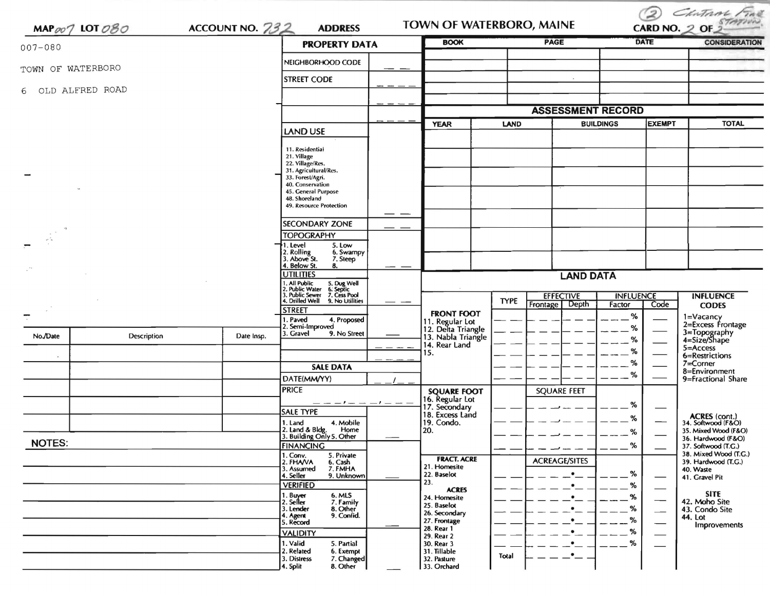| MAP $\varphi \varphi \gamma$ LOT $\varphi \mathcal{B} \varphi$ |             | ACCOUNT NO. 732 | <b>ADDRESS</b>                                                                            |                  | TOWN OF WATERBORO, MAINE                            |                          | CHATANG FINE<br>2<br>CARD NO. 2 OF |                  |                          |                                              |
|----------------------------------------------------------------|-------------|-----------------|-------------------------------------------------------------------------------------------|------------------|-----------------------------------------------------|--------------------------|------------------------------------|------------------|--------------------------|----------------------------------------------|
| $007 - 080$                                                    |             |                 | <b>PROPERTY DATA</b>                                                                      |                  | <b>BOOK</b>                                         |                          | <b>PAGE</b>                        | <b>DATE</b>      |                          | <b>CONSIDERATION</b>                         |
| TOWN OF WATERBORO                                              |             |                 | NEIGHBORHOOD CODE                                                                         |                  |                                                     |                          |                                    |                  |                          |                                              |
|                                                                |             |                 | <b>STREET CODE</b>                                                                        |                  |                                                     |                          |                                    |                  |                          |                                              |
| 6 OLD ALFRED ROAD                                              |             |                 |                                                                                           |                  |                                                     |                          |                                    |                  |                          |                                              |
|                                                                |             |                 |                                                                                           |                  |                                                     | <b>ASSESSMENT RECORD</b> |                                    |                  |                          |                                              |
|                                                                |             |                 | <b>LAND USE</b>                                                                           |                  | <b>YEAR</b>                                         | <b>LAND</b>              |                                    | <b>BUILDINGS</b> | <b>EXEMPT</b>            | <b>TOTAL</b>                                 |
|                                                                |             |                 | 11. Residential                                                                           |                  |                                                     |                          |                                    |                  |                          |                                              |
|                                                                |             |                 | 21. Village<br>22. Village/Res.<br>31. Agricultural/Res.                                  |                  |                                                     |                          |                                    |                  |                          |                                              |
|                                                                |             |                 | 33. Forest/Agri.<br>40. Conservation                                                      |                  |                                                     |                          |                                    |                  |                          |                                              |
|                                                                |             |                 | 45. General Purpose<br>48. Shoreland                                                      |                  |                                                     |                          |                                    |                  |                          |                                              |
|                                                                |             |                 | 49. Resource Protection                                                                   |                  |                                                     |                          |                                    |                  |                          |                                              |
|                                                                |             |                 | <b>SECONDARY ZONE</b>                                                                     |                  |                                                     |                          |                                    |                  |                          |                                              |
|                                                                |             |                 | <b>TOPOGRAPHY</b><br>5. Low<br>1. Level                                                   |                  |                                                     |                          |                                    |                  |                          |                                              |
|                                                                |             |                 | 2. Rolling<br>3. Above St.<br>6. Swampy<br>7. Steep                                       |                  |                                                     |                          |                                    |                  |                          |                                              |
|                                                                |             |                 | 4. Below St.<br>8.<br><b>UTILITIES</b>                                                    | <b>LAND DATA</b> |                                                     |                          |                                    |                  |                          |                                              |
|                                                                |             |                 | 5. Dug Well<br>6. Septic<br>7. Cess Pool                                                  |                  |                                                     |                          |                                    |                  |                          |                                              |
|                                                                |             |                 | 1. All Public<br>2. Public Water<br>3. Public Sewer<br>4. Drilled Well<br>9. No Utilities |                  |                                                     | <b>TYPE</b>              | <b>EFFECTIVE</b>                   | <b>INFLUENCE</b> |                          | <b>INFLUENCE</b>                             |
|                                                                |             |                 | <b>STREET</b>                                                                             |                  | <b>FRONT FOOT</b>                                   |                          | Depth<br>Frontage                  | Factor<br>%      | Code                     | <b>CODES</b>                                 |
|                                                                |             |                 | 1. Paved<br>4. Proposed<br>2. Semi-Improved                                               |                  | 11. Regular Lot<br>12. Delta Triangle               |                          |                                    | %                |                          | 1=Vacancy<br>2=Excess Frontage               |
| No./Date                                                       | Description | Date Insp.      | 3. Gravel<br>9. No Street                                                                 |                  | 13. Nabla Triangle<br>14. Rear Land                 |                          |                                    | %                |                          | 3=Topography<br>4=Size/Shape                 |
|                                                                |             |                 |                                                                                           |                  | 15.                                                 |                          |                                    | %                |                          | 5=Access<br>6=Restrictions                   |
|                                                                |             |                 | <b>SALE DATA</b>                                                                          |                  |                                                     |                          |                                    | ℅                |                          | 7=Corner<br>8=Environment                    |
|                                                                |             |                 | DATE(MM/YY)                                                                               |                  |                                                     |                          |                                    | %                |                          | 9=Fractional Share                           |
|                                                                |             |                 | <b>PRICE</b>                                                                              |                  | <b>SQUARE FOOT</b>                                  |                          | <b>SQUARE FEET</b>                 |                  |                          |                                              |
|                                                                |             |                 | <b>SALE TYPE</b>                                                                          |                  | 16. Regular Lot<br>17. Secondary<br>18. Excess Land |                          |                                    | %                |                          |                                              |
|                                                                |             |                 | 1. Land<br>4. Mobile                                                                      |                  | 19. Condo.                                          |                          |                                    | %                |                          | ACRES (cont.)<br>34. Softwood (F&O)          |
|                                                                |             |                 | 2. Land & Bldg. Home<br>3. Building Only 5. Other<br>Home                                 |                  | [20.                                                |                          |                                    | %                |                          | 35. Mixed Wood (F&O)<br>36. Hardwood (F&O)   |
| <b>NOTES:</b>                                                  |             |                 | <b>FINANCING</b><br>5. Private                                                            |                  |                                                     |                          |                                    | %                |                          | 37. Softwood (T.G.)<br>38. Mixed Wood (T.G.) |
|                                                                |             |                 | 1. Conv.<br>2. FHA/VA<br>6. Cash<br>7. FMHA<br>3. Assumed                                 |                  | <b>FRACT. ACRE</b><br>21. Homesite                  |                          | <b>ACREAGE/SITES</b>               |                  |                          | 39. Hardwood (T.G.)<br>40. Waste             |
|                                                                |             |                 | 9. Unknown<br>4. Seller                                                                   |                  | 22. Baselot<br>23.                                  |                          | $\bullet$                          | %                |                          | 41. Gravel Pit                               |
|                                                                |             |                 | <b>VERIFIED</b><br>1. Buyer<br>6. MLS                                                     |                  | <b>ACRES</b>                                        |                          | $\bullet$                          | ℅                |                          | SITE                                         |
|                                                                |             |                 | 2. Seller<br>7. Family                                                                    |                  | 24. Homesite<br>25. Baselot                         |                          | ٠<br>٠                             | %<br>%           | $\overline{\phantom{0}}$ | 42. Moho Site                                |
|                                                                |             |                 | 3. Lender<br>8. Other<br>9. Confid.<br>I. Agent                                           |                  | 26. Secondary<br>27. Frontage                       |                          | $\bullet$                          | %                | $\overline{\phantom{0}}$ | 43. Condo Site<br>44. Lot                    |
|                                                                |             |                 | 5. Record<br><b>VALIDITY</b>                                                              |                  | 28. Rear 1                                          |                          | ٠                                  | %                |                          | <b>Improvements</b>                          |
|                                                                |             |                 | 1. Valid<br>5. Partial                                                                    |                  | 29. Rear 2<br>30. Rear 3                            |                          | $\bullet$                          | %                |                          |                                              |
|                                                                |             |                 | 2. Related<br>6. Exempt<br>3. Distress<br>7. Changed                                      |                  | 31. Tillable<br>32. Pasture                         | <b>Total</b>             | $\bullet$                          |                  |                          |                                              |
|                                                                |             |                 | 4. Split<br>8. Other                                                                      |                  | 33. Orchard                                         |                          |                                    |                  |                          |                                              |